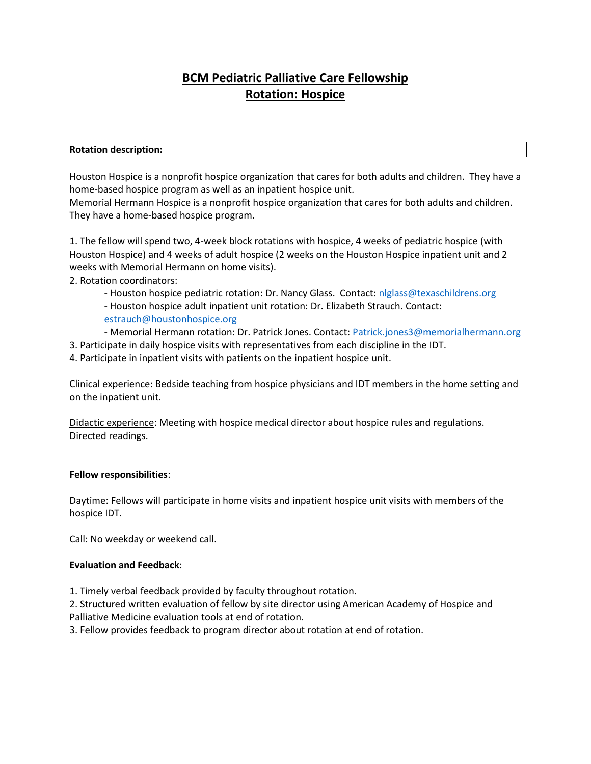## **BCM Pediatric Palliative Care Fellowship Rotation: Hospice**

#### **Rotation description:**

Houston Hospice is a nonprofit hospice organization that cares for both adults and children. They have a home-based hospice program as well as an inpatient hospice unit.

Memorial Hermann Hospice is a nonprofit hospice organization that cares for both adults and children. They have a home-based hospice program.

1. The fellow will spend two, 4-week block rotations with hospice, 4 weeks of pediatric hospice (with Houston Hospice) and 4 weeks of adult hospice (2 weeks on the Houston Hospice inpatient unit and 2 weeks with Memorial Hermann on home visits).

2. Rotation coordinators:

- Houston hospice pediatric rotation: Dr. Nancy Glass. Contact: [nlglass@texaschildrens.org](mailto:nlglass@texaschildrens.org)

- Houston hospice adult inpatient unit rotation: Dr. Elizabeth Strauch. Contact:

[estrauch@houstonhospice.org](mailto:estrauch@houstonhospice.org)

- Memorial Hermann rotation: Dr. Patrick Jones. Contact: [Patrick.jones3@memorialhermann.org](mailto:Patrick.jones3@memorialhermann.org) 3. Participate in daily hospice visits with representatives from each discipline in the IDT.

4. Participate in inpatient visits with patients on the inpatient hospice unit.

Clinical experience: Bedside teaching from hospice physicians and IDT members in the home setting and on the inpatient unit.

Didactic experience: Meeting with hospice medical director about hospice rules and regulations. Directed readings.

#### **Fellow responsibilities**:

Daytime: Fellows will participate in home visits and inpatient hospice unit visits with members of the hospice IDT.

Call: No weekday or weekend call.

#### **Evaluation and Feedback**:

1. Timely verbal feedback provided by faculty throughout rotation.

2. Structured written evaluation of fellow by site director using American Academy of Hospice and Palliative Medicine evaluation tools at end of rotation.

3. Fellow provides feedback to program director about rotation at end of rotation.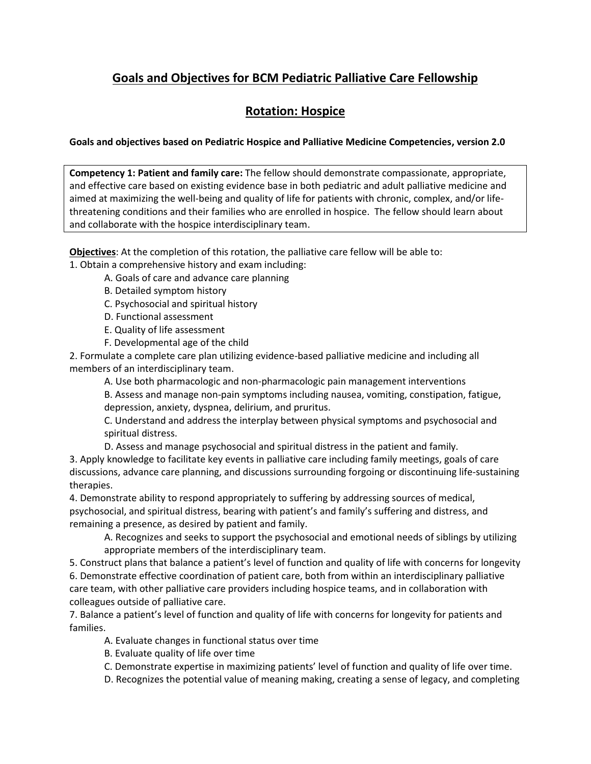# **Goals and Objectives for BCM Pediatric Palliative Care Fellowship**

### **Rotation: Hospice**

#### **Goals and objectives based on Pediatric Hospice and Palliative Medicine Competencies, version 2.0**

**Competency 1: Patient and family care:** The fellow should demonstrate compassionate, appropriate, and effective care based on existing evidence base in both pediatric and adult palliative medicine and aimed at maximizing the well-being and quality of life for patients with chronic, complex, and/or lifethreatening conditions and their families who are enrolled in hospice. The fellow should learn about and collaborate with the hospice interdisciplinary team.

**Objectives**: At the completion of this rotation, the palliative care fellow will be able to:

1. Obtain a comprehensive history and exam including:

- A. Goals of care and advance care planning
- B. Detailed symptom history
- C. Psychosocial and spiritual history
- D. Functional assessment
- E. Quality of life assessment
- F. Developmental age of the child

2. Formulate a complete care plan utilizing evidence-based palliative medicine and including all members of an interdisciplinary team.

A. Use both pharmacologic and non-pharmacologic pain management interventions

B. Assess and manage non-pain symptoms including nausea, vomiting, constipation, fatigue, depression, anxiety, dyspnea, delirium, and pruritus.

C. Understand and address the interplay between physical symptoms and psychosocial and spiritual distress.

D. Assess and manage psychosocial and spiritual distress in the patient and family.

3. Apply knowledge to facilitate key events in palliative care including family meetings, goals of care discussions, advance care planning, and discussions surrounding forgoing or discontinuing life-sustaining therapies.

4. Demonstrate ability to respond appropriately to suffering by addressing sources of medical, psychosocial, and spiritual distress, bearing with patient's and family's suffering and distress, and remaining a presence, as desired by patient and family.

A. Recognizes and seeks to support the psychosocial and emotional needs of siblings by utilizing appropriate members of the interdisciplinary team.

5. Construct plans that balance a patient's level of function and quality of life with concerns for longevity 6. Demonstrate effective coordination of patient care, both from within an interdisciplinary palliative care team, with other palliative care providers including hospice teams, and in collaboration with colleagues outside of palliative care.

7. Balance a patient's level of function and quality of life with concerns for longevity for patients and families.

- A. Evaluate changes in functional status over time
- B. Evaluate quality of life over time
- C. Demonstrate expertise in maximizing patients' level of function and quality of life over time.
- D. Recognizes the potential value of meaning making, creating a sense of legacy, and completing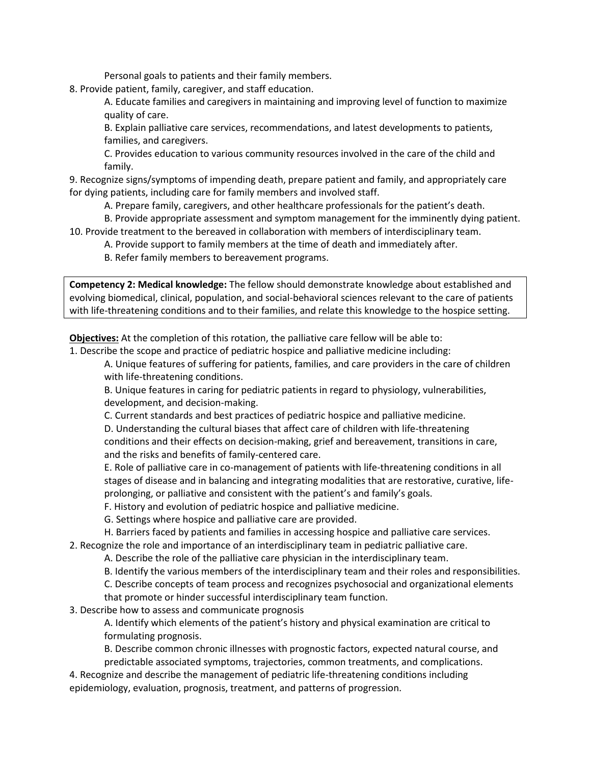Personal goals to patients and their family members.

8. Provide patient, family, caregiver, and staff education.

A. Educate families and caregivers in maintaining and improving level of function to maximize quality of care.

B. Explain palliative care services, recommendations, and latest developments to patients, families, and caregivers.

C. Provides education to various community resources involved in the care of the child and family.

9. Recognize signs/symptoms of impending death, prepare patient and family, and appropriately care for dying patients, including care for family members and involved staff.

A. Prepare family, caregivers, and other healthcare professionals for the patient's death.

B. Provide appropriate assessment and symptom management for the imminently dying patient.

10. Provide treatment to the bereaved in collaboration with members of interdisciplinary team.

- A. Provide support to family members at the time of death and immediately after.
- B. Refer family members to bereavement programs.

**Competency 2: Medical knowledge:** The fellow should demonstrate knowledge about established and evolving biomedical, clinical, population, and social-behavioral sciences relevant to the care of patients with life-threatening conditions and to their families, and relate this knowledge to the hospice setting.

**Objectives:** At the completion of this rotation, the palliative care fellow will be able to:

1. Describe the scope and practice of pediatric hospice and palliative medicine including:

A. Unique features of suffering for patients, families, and care providers in the care of children with life-threatening conditions.

B. Unique features in caring for pediatric patients in regard to physiology, vulnerabilities, development, and decision-making.

C. Current standards and best practices of pediatric hospice and palliative medicine.

D. Understanding the cultural biases that affect care of children with life-threatening conditions and their effects on decision-making, grief and bereavement, transitions in care, and the risks and benefits of family-centered care.

E. Role of palliative care in co-management of patients with life-threatening conditions in all stages of disease and in balancing and integrating modalities that are restorative, curative, lifeprolonging, or palliative and consistent with the patient's and family's goals.

F. History and evolution of pediatric hospice and palliative medicine.

G. Settings where hospice and palliative care are provided.

H. Barriers faced by patients and families in accessing hospice and palliative care services.

2. Recognize the role and importance of an interdisciplinary team in pediatric palliative care.

A. Describe the role of the palliative care physician in the interdisciplinary team.

B. Identify the various members of the interdisciplinary team and their roles and responsibilities.

C. Describe concepts of team process and recognizes psychosocial and organizational elements

that promote or hinder successful interdisciplinary team function.

3. Describe how to assess and communicate prognosis

A. Identify which elements of the patient's history and physical examination are critical to formulating prognosis.

B. Describe common chronic illnesses with prognostic factors, expected natural course, and predictable associated symptoms, trajectories, common treatments, and complications.

4. Recognize and describe the management of pediatric life-threatening conditions including epidemiology, evaluation, prognosis, treatment, and patterns of progression.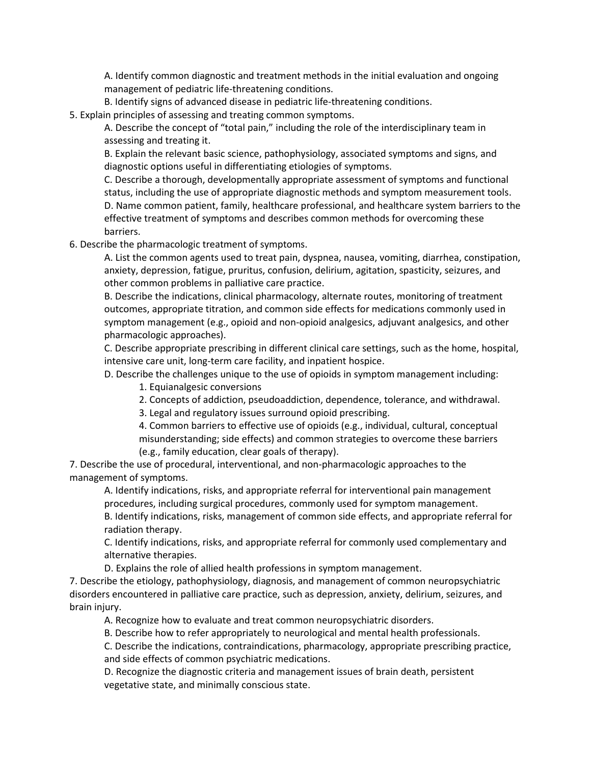A. Identify common diagnostic and treatment methods in the initial evaluation and ongoing management of pediatric life-threatening conditions.

B. Identify signs of advanced disease in pediatric life-threatening conditions.

5. Explain principles of assessing and treating common symptoms.

A. Describe the concept of "total pain," including the role of the interdisciplinary team in assessing and treating it.

B. Explain the relevant basic science, pathophysiology, associated symptoms and signs, and diagnostic options useful in differentiating etiologies of symptoms.

C. Describe a thorough, developmentally appropriate assessment of symptoms and functional status, including the use of appropriate diagnostic methods and symptom measurement tools. D. Name common patient, family, healthcare professional, and healthcare system barriers to the effective treatment of symptoms and describes common methods for overcoming these barriers.

6. Describe the pharmacologic treatment of symptoms.

A. List the common agents used to treat pain, dyspnea, nausea, vomiting, diarrhea, constipation, anxiety, depression, fatigue, pruritus, confusion, delirium, agitation, spasticity, seizures, and other common problems in palliative care practice.

B. Describe the indications, clinical pharmacology, alternate routes, monitoring of treatment outcomes, appropriate titration, and common side effects for medications commonly used in symptom management (e.g., opioid and non-opioid analgesics, adjuvant analgesics, and other pharmacologic approaches).

C. Describe appropriate prescribing in different clinical care settings, such as the home, hospital, intensive care unit, long-term care facility, and inpatient hospice.

D. Describe the challenges unique to the use of opioids in symptom management including:

1. Equianalgesic conversions

2. Concepts of addiction, pseudoaddiction, dependence, tolerance, and withdrawal.

3. Legal and regulatory issues surround opioid prescribing.

4. Common barriers to effective use of opioids (e.g., individual, cultural, conceptual misunderstanding; side effects) and common strategies to overcome these barriers (e.g., family education, clear goals of therapy).

7. Describe the use of procedural, interventional, and non-pharmacologic approaches to the management of symptoms.

A. Identify indications, risks, and appropriate referral for interventional pain management procedures, including surgical procedures, commonly used for symptom management.

B. Identify indications, risks, management of common side effects, and appropriate referral for radiation therapy.

C. Identify indications, risks, and appropriate referral for commonly used complementary and alternative therapies.

D. Explains the role of allied health professions in symptom management.

7. Describe the etiology, pathophysiology, diagnosis, and management of common neuropsychiatric disorders encountered in palliative care practice, such as depression, anxiety, delirium, seizures, and brain injury.

A. Recognize how to evaluate and treat common neuropsychiatric disorders.

B. Describe how to refer appropriately to neurological and mental health professionals.

C. Describe the indications, contraindications, pharmacology, appropriate prescribing practice, and side effects of common psychiatric medications.

D. Recognize the diagnostic criteria and management issues of brain death, persistent vegetative state, and minimally conscious state.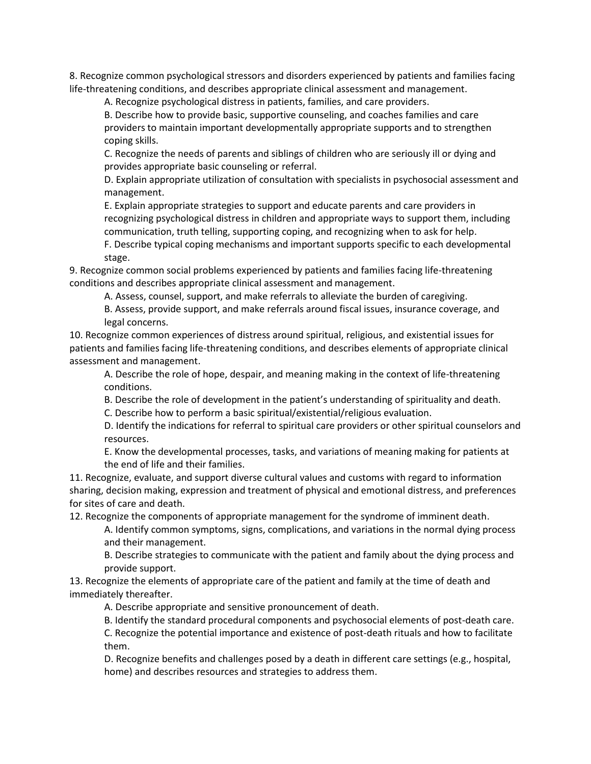8. Recognize common psychological stressors and disorders experienced by patients and families facing life-threatening conditions, and describes appropriate clinical assessment and management.

A. Recognize psychological distress in patients, families, and care providers.

B. Describe how to provide basic, supportive counseling, and coaches families and care providers to maintain important developmentally appropriate supports and to strengthen coping skills.

C. Recognize the needs of parents and siblings of children who are seriously ill or dying and provides appropriate basic counseling or referral.

D. Explain appropriate utilization of consultation with specialists in psychosocial assessment and management.

E. Explain appropriate strategies to support and educate parents and care providers in recognizing psychological distress in children and appropriate ways to support them, including communication, truth telling, supporting coping, and recognizing when to ask for help.

F. Describe typical coping mechanisms and important supports specific to each developmental stage.

9. Recognize common social problems experienced by patients and families facing life-threatening conditions and describes appropriate clinical assessment and management.

A. Assess, counsel, support, and make referrals to alleviate the burden of caregiving.

B. Assess, provide support, and make referrals around fiscal issues, insurance coverage, and legal concerns.

10. Recognize common experiences of distress around spiritual, religious, and existential issues for patients and families facing life-threatening conditions, and describes elements of appropriate clinical assessment and management.

A. Describe the role of hope, despair, and meaning making in the context of life-threatening conditions.

B. Describe the role of development in the patient's understanding of spirituality and death.

C. Describe how to perform a basic spiritual/existential/religious evaluation.

D. Identify the indications for referral to spiritual care providers or other spiritual counselors and resources.

E. Know the developmental processes, tasks, and variations of meaning making for patients at the end of life and their families.

11. Recognize, evaluate, and support diverse cultural values and customs with regard to information sharing, decision making, expression and treatment of physical and emotional distress, and preferences for sites of care and death.

12. Recognize the components of appropriate management for the syndrome of imminent death.

A. Identify common symptoms, signs, complications, and variations in the normal dying process and their management.

B. Describe strategies to communicate with the patient and family about the dying process and provide support.

13. Recognize the elements of appropriate care of the patient and family at the time of death and immediately thereafter.

A. Describe appropriate and sensitive pronouncement of death.

B. Identify the standard procedural components and psychosocial elements of post-death care.

C. Recognize the potential importance and existence of post-death rituals and how to facilitate them.

D. Recognize benefits and challenges posed by a death in different care settings (e.g., hospital, home) and describes resources and strategies to address them.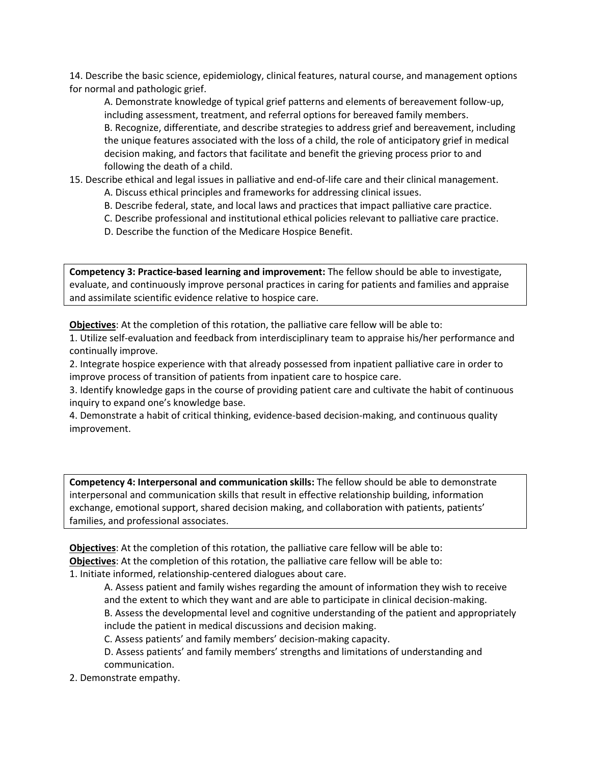14. Describe the basic science, epidemiology, clinical features, natural course, and management options for normal and pathologic grief.

A. Demonstrate knowledge of typical grief patterns and elements of bereavement follow-up, including assessment, treatment, and referral options for bereaved family members. B. Recognize, differentiate, and describe strategies to address grief and bereavement, including the unique features associated with the loss of a child, the role of anticipatory grief in medical decision making, and factors that facilitate and benefit the grieving process prior to and following the death of a child.

15. Describe ethical and legal issues in palliative and end-of-life care and their clinical management.

- A. Discuss ethical principles and frameworks for addressing clinical issues.
- B. Describe federal, state, and local laws and practices that impact palliative care practice.
- C. Describe professional and institutional ethical policies relevant to palliative care practice.
- D. Describe the function of the Medicare Hospice Benefit.

**Competency 3: Practice-based learning and improvement:** The fellow should be able to investigate, evaluate, and continuously improve personal practices in caring for patients and families and appraise and assimilate scientific evidence relative to hospice care.

**Objectives**: At the completion of this rotation, the palliative care fellow will be able to:

1. Utilize self-evaluation and feedback from interdisciplinary team to appraise his/her performance and continually improve.

2. Integrate hospice experience with that already possessed from inpatient palliative care in order to improve process of transition of patients from inpatient care to hospice care.

3. Identify knowledge gaps in the course of providing patient care and cultivate the habit of continuous inquiry to expand one's knowledge base.

4. Demonstrate a habit of critical thinking, evidence-based decision-making, and continuous quality improvement.

**Competency 4: Interpersonal and communication skills:** The fellow should be able to demonstrate interpersonal and communication skills that result in effective relationship building, information exchange, emotional support, shared decision making, and collaboration with patients, patients' families, and professional associates.

**Objectives**: At the completion of this rotation, the palliative care fellow will be able to: **Objectives**: At the completion of this rotation, the palliative care fellow will be able to: 1. Initiate informed, relationship-centered dialogues about care.

A. Assess patient and family wishes regarding the amount of information they wish to receive and the extent to which they want and are able to participate in clinical decision-making.

B. Assess the developmental level and cognitive understanding of the patient and appropriately include the patient in medical discussions and decision making.

C. Assess patients' and family members' decision-making capacity.

D. Assess patients' and family members' strengths and limitations of understanding and communication.

2. Demonstrate empathy.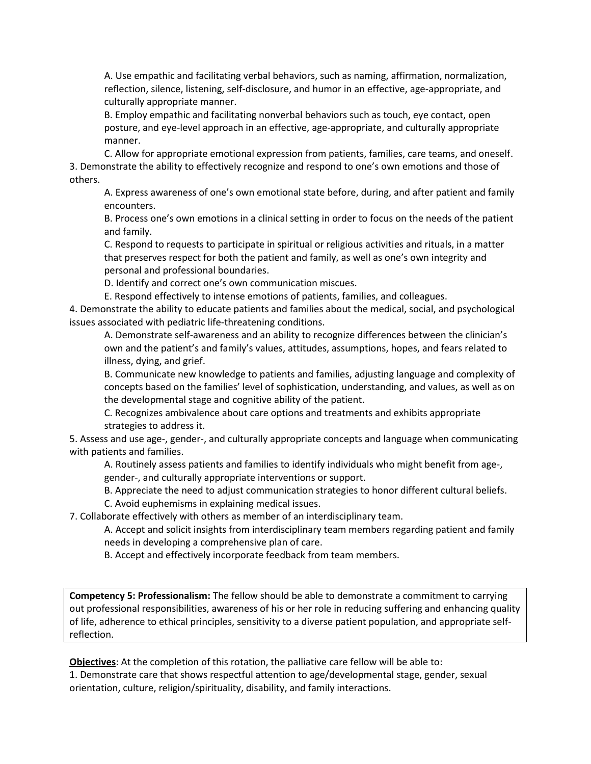A. Use empathic and facilitating verbal behaviors, such as naming, affirmation, normalization, reflection, silence, listening, self-disclosure, and humor in an effective, age-appropriate, and culturally appropriate manner.

B. Employ empathic and facilitating nonverbal behaviors such as touch, eye contact, open posture, and eye-level approach in an effective, age-appropriate, and culturally appropriate manner.

C. Allow for appropriate emotional expression from patients, families, care teams, and oneself. 3. Demonstrate the ability to effectively recognize and respond to one's own emotions and those of others.

A. Express awareness of one's own emotional state before, during, and after patient and family encounters.

B. Process one's own emotions in a clinical setting in order to focus on the needs of the patient and family.

C. Respond to requests to participate in spiritual or religious activities and rituals, in a matter that preserves respect for both the patient and family, as well as one's own integrity and personal and professional boundaries.

D. Identify and correct one's own communication miscues.

E. Respond effectively to intense emotions of patients, families, and colleagues.

4. Demonstrate the ability to educate patients and families about the medical, social, and psychological issues associated with pediatric life-threatening conditions.

A. Demonstrate self-awareness and an ability to recognize differences between the clinician's own and the patient's and family's values, attitudes, assumptions, hopes, and fears related to illness, dying, and grief.

B. Communicate new knowledge to patients and families, adjusting language and complexity of concepts based on the families' level of sophistication, understanding, and values, as well as on the developmental stage and cognitive ability of the patient.

C. Recognizes ambivalence about care options and treatments and exhibits appropriate strategies to address it.

5. Assess and use age-, gender-, and culturally appropriate concepts and language when communicating with patients and families.

A. Routinely assess patients and families to identify individuals who might benefit from age-, gender-, and culturally appropriate interventions or support.

B. Appreciate the need to adjust communication strategies to honor different cultural beliefs.

C. Avoid euphemisms in explaining medical issues.

7. Collaborate effectively with others as member of an interdisciplinary team.

A. Accept and solicit insights from interdisciplinary team members regarding patient and family needs in developing a comprehensive plan of care.

B. Accept and effectively incorporate feedback from team members.

**Competency 5: Professionalism:** The fellow should be able to demonstrate a commitment to carrying out professional responsibilities, awareness of his or her role in reducing suffering and enhancing quality of life, adherence to ethical principles, sensitivity to a diverse patient population, and appropriate selfreflection.

**Objectives**: At the completion of this rotation, the palliative care fellow will be able to:

1. Demonstrate care that shows respectful attention to age/developmental stage, gender, sexual orientation, culture, religion/spirituality, disability, and family interactions.